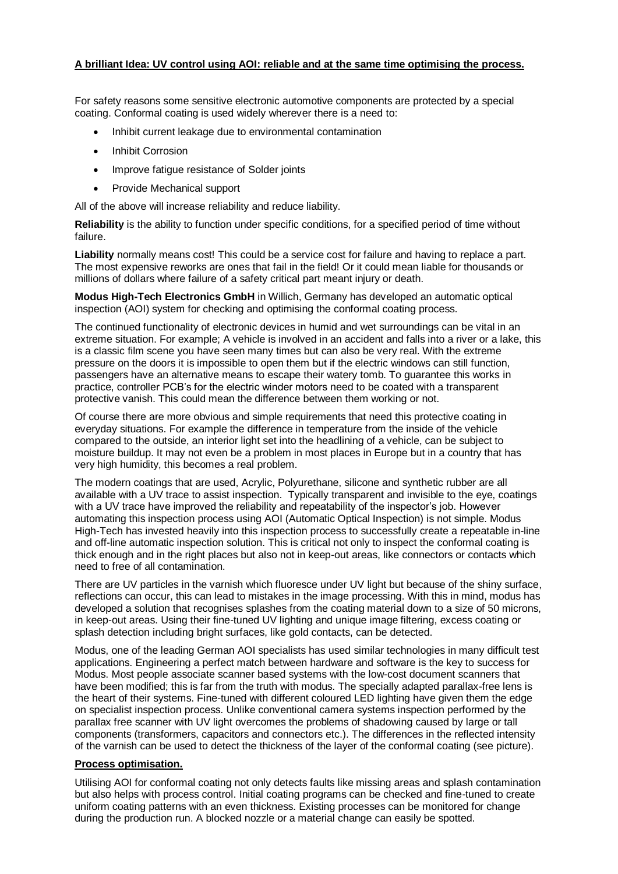## **A brilliant Idea: UV control using AOI: reliable and at the same time optimising the process.**

For safety reasons some sensitive electronic automotive components are protected by a special coating. Conformal coating is used widely wherever there is a need to:

- Inhibit current leakage due to environmental contamination
- Inhibit Corrosion
- Improve fatigue resistance of Solder joints
- Provide Mechanical support

All of the above will increase reliability and reduce liability.

**Reliability** is the ability to function under specific conditions, for a specified period of time without failure.

**Liability** normally means cost! This could be a service cost for failure and having to replace a part. The most expensive reworks are ones that fail in the field! Or it could mean liable for thousands or millions of dollars where failure of a safety critical part meant injury or death.

**Modus High-Tech Electronics GmbH** in Willich, Germany has developed an automatic optical inspection (AOI) system for checking and optimising the conformal coating process.

The continued functionality of electronic devices in humid and wet surroundings can be vital in an extreme situation. For example; A vehicle is involved in an accident and falls into a river or a lake, this is a classic film scene you have seen many times but can also be very real. With the extreme pressure on the doors it is impossible to open them but if the electric windows can still function, passengers have an alternative means to escape their watery tomb. To guarantee this works in practice, controller PCB's for the electric winder motors need to be coated with a transparent protective vanish. This could mean the difference between them working or not.

Of course there are more obvious and simple requirements that need this protective coating in everyday situations. For example the difference in temperature from the inside of the vehicle compared to the outside, an interior light set into the headlining of a vehicle, can be subject to moisture buildup. It may not even be a problem in most places in Europe but in a country that has very high humidity, this becomes a real problem.

The modern coatings that are used, Acrylic, Polyurethane, silicone and synthetic rubber are all available with a UV trace to assist inspection. Typically transparent and invisible to the eye, coatings with a UV trace have improved the reliability and repeatability of the inspector's job. However automating this inspection process using AOI (Automatic Optical Inspection) is not simple. Modus High-Tech has invested heavily into this inspection process to successfully create a repeatable in-line and off-line automatic inspection solution. This is critical not only to inspect the conformal coating is thick enough and in the right places but also not in keep-out areas, like connectors or contacts which need to free of all contamination.

There are UV particles in the varnish which fluoresce under UV light but because of the shiny surface, reflections can occur, this can lead to mistakes in the image processing. With this in mind, modus has developed a solution that recognises splashes from the coating material down to a size of 50 microns, in keep-out areas. Using their fine-tuned UV lighting and unique image filtering, excess coating or splash detection including bright surfaces, like gold contacts, can be detected.

Modus, one of the leading German AOI specialists has used similar technologies in many difficult test applications. Engineering a perfect match between hardware and software is the key to success for Modus. Most people associate scanner based systems with the low-cost document scanners that have been modified; this is far from the truth with modus. The specially adapted parallax-free lens is the heart of their systems. Fine-tuned with different coloured LED lighting have given them the edge on specialist inspection process. Unlike conventional camera systems inspection performed by the parallax free scanner with UV light overcomes the problems of shadowing caused by large or tall components (transformers, capacitors and connectors etc.). The differences in the reflected intensity of the varnish can be used to detect the thickness of the layer of the conformal coating (see picture).

## **Process optimisation.**

Utilising AOI for conformal coating not only detects faults like missing areas and splash contamination but also helps with process control. Initial coating programs can be checked and fine-tuned to create uniform coating patterns with an even thickness. Existing processes can be monitored for change during the production run. A blocked nozzle or a material change can easily be spotted.